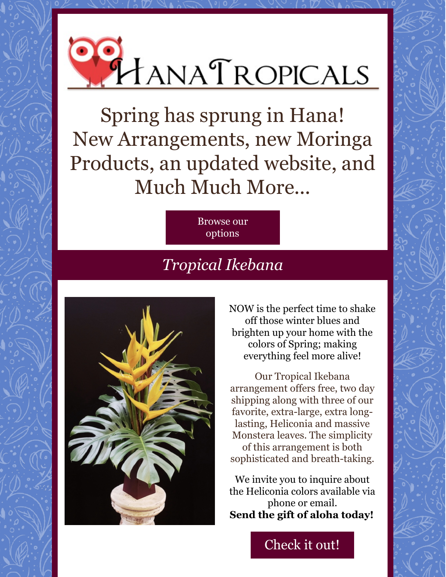

Spring has sprung in Hana! New Arrangements, new Moringa Products, an updated website, and Much Much More...

> [Browse](http://www.hanatropicals.com) our options

## *Tropical Ikebana*



NOW is the perfect time to shake off those winter blues and brighten up your home with the colors of Spring; making everything feel more alive!

Our Tropical Ikebana arrangement offers free, two day shipping along with three of our favorite, extra-large, extra longlasting, Heliconia and massive Monstera leaves. The simplicity of this arrangement is both sophisticated and breath-taking.

We invite you to inquire about the Heliconia colors available via phone or email. **Send the gift of aloha today!**

[Check](http://hanatropicals.com/tropical-ikebana/) it out!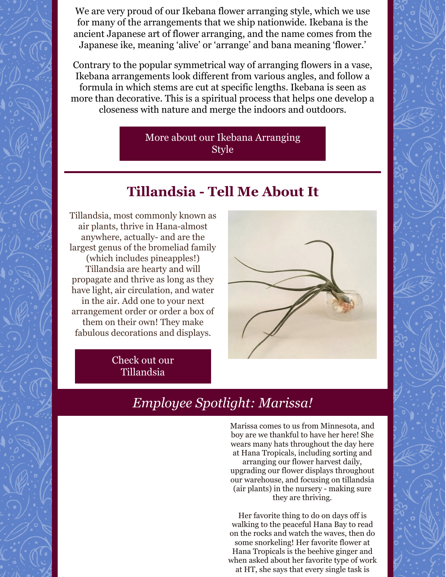We are very proud of our Ikebana flower arranging style, which we use for many of the arrangements that we ship nationwide. Ikebana is the ancient Japanese art of flower arranging, and the name comes from the Japanese ike, meaning 'alive' or 'arrange' and bana meaning 'flower.'

Contrary to the popular symmetrical way of arranging flowers in a vase, Ikebana arrangements look different from various angles, and follow a formula in which stems are cut at specific lengths. Ikebana is seen as more than decorative. This is a spiritual process that helps one develop a closeness with nature and merge the indoors and outdoors.

> More about our Ikebana [Arranging](https://www.ftd.com/blog/design/ikebana) Style

## **Tillandsia - Tell Me About It**

Tillandsia, most commonly known as air plants, thrive in Hana-almost anywhere, actually- and are the largest genus of the bromeliad family (which includes pineapples!) Tillandsia are hearty and will propagate and thrive as long as they have light, air circulation, and water in the air. Add one to your next arrangement order or order a box of them on their own! They make fabulous decorations and displays.



Check out our [Tillandsia](http://hanatropicals.com/tillandsia-airplant/)

## *Employee Spotlight: Marissa!*

Marissa comes to us from Minnesota, and boy are we thankful to have her here! She wears many hats throughout the day here at Hana Tropicals, including sorting and arranging our flower harvest daily, upgrading our flower displays throughout our warehouse, and focusing on tillandsia (air plants) in the nursery - making sure they are thriving.

Her favorite thing to do on days off is walking to the peaceful Hana Bay to read on the rocks and watch the waves, then do some snorkeling! Her favorite flower at Hana Tropicals is the beehive ginger and when asked about her favorite type of work at HT, she says that every single task is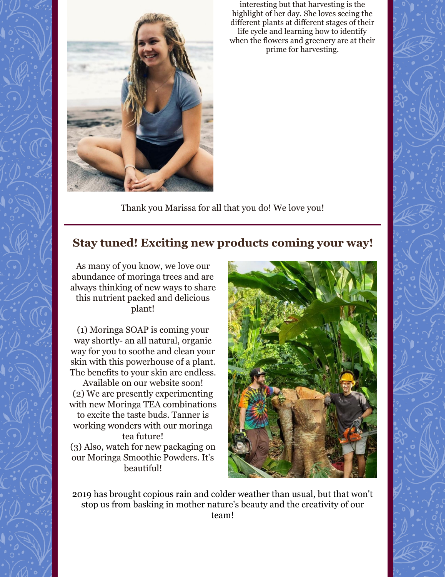

interesting but that harvesting is the highlight of her day. She loves seeing the different plants at different stages of their life cycle and learning how to identify when the flowers and greenery are at their prime for harvesting.

Thank you Marissa for all that you do! We love you!

## **Stay tuned! Exciting new products coming your way!**

As many of you know, we love our abundance of moringa trees and are always thinking of new ways to share this nutrient packed and delicious plant!

(1) Moringa SOAP is coming your way shortly- an all natural, organic way for you to soothe and clean your skin with this powerhouse of a plant. The benefits to your skin are endless.

Available on our website soon! (2) We are presently experimenting with new Moringa TEA combinations to excite the taste buds. Tanner is working wonders with our moringa tea future!

(3) Also, watch for new packaging on our Moringa Smoothie Powders. It's beautiful!



2019 has brought copious rain and colder weather than usual, but that won't stop us from basking in mother nature's beauty and the creativity of our team!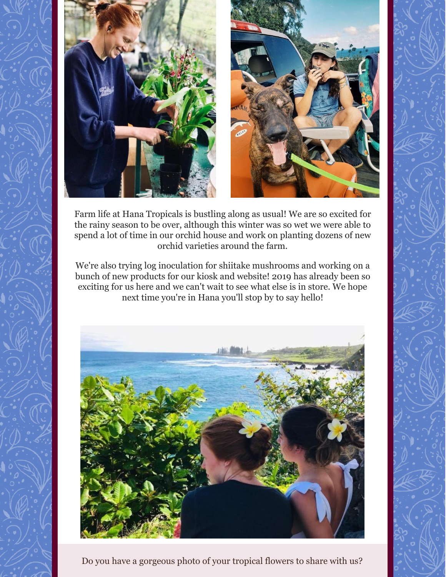

Farm life at Hana Tropicals is bustling along as usual! We are so excited for the rainy season to be over, although this winter was so wet we were able to spend a lot of time in our orchid house and work on planting dozens of new orchid varieties around the farm.

We're also trying log inoculation for shiitake mushrooms and working on a bunch of new products for our kiosk and website! 2019 has already been so exciting for us here and we can't wait to see what else is in store. We hope next time you're in Hana you'll stop by to say hello!



Do you have a gorgeous photo of your tropical flowers to share with us?